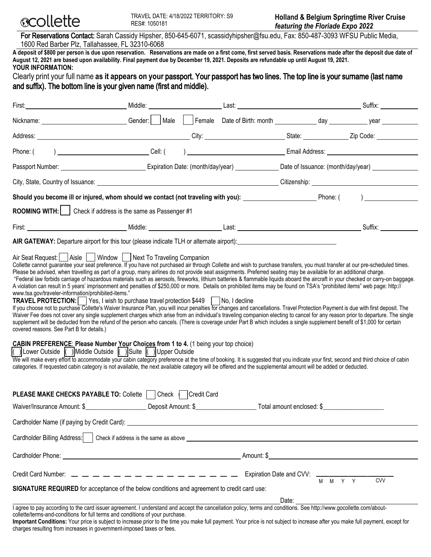

For Reservations Contact: Sarah Cassidy Hipsher, 850-645-6071, scassidyhipsher@fsu.edu, Fax: 850-487-3093 WFSU Public Media, 1600 Red Barber Plz, Tallahassee, FL 32310-6068

**A deposit of \$800 per person is due upon reservation. Reservations are made on a first come, first served basis. Reservations made after the deposit due date of August 12, 2021 are based upon availability. Final payment due by December 19, 2021. Deposits are refundable up until August 19, 2021. YOUR INFORMATION:** 

## Clearly print your full name **as it appears on your** passport. Your passport has two lines. The top line is your surname (last name and suffix). The bottom line is your given name (first and middle).

| First: Middle: Middle:                                                                                                                                                                                                                                                                                                                                                                                                                                                                                                                                                                                                                                                                                                                                                                                                                                                                                                                                                                                                                                                                                                                                                                                                                                                                                                                                                                                                                                                                                                                                                                                                                                                                                                                                                                                                                                                                                                                                                                                                                                                |  |  |  |       |                                                        |                               |  |
|-----------------------------------------------------------------------------------------------------------------------------------------------------------------------------------------------------------------------------------------------------------------------------------------------------------------------------------------------------------------------------------------------------------------------------------------------------------------------------------------------------------------------------------------------------------------------------------------------------------------------------------------------------------------------------------------------------------------------------------------------------------------------------------------------------------------------------------------------------------------------------------------------------------------------------------------------------------------------------------------------------------------------------------------------------------------------------------------------------------------------------------------------------------------------------------------------------------------------------------------------------------------------------------------------------------------------------------------------------------------------------------------------------------------------------------------------------------------------------------------------------------------------------------------------------------------------------------------------------------------------------------------------------------------------------------------------------------------------------------------------------------------------------------------------------------------------------------------------------------------------------------------------------------------------------------------------------------------------------------------------------------------------------------------------------------------------|--|--|--|-------|--------------------------------------------------------|-------------------------------|--|
| Nickname: <u>Contact Contact Contact Contact Contact Contact Contact Contact Contact Contact Contact Contact Contact Contact Contact Contact Contact Contact Contact Contact Contact Contact Contact Contact Contact Contact Con</u>                                                                                                                                                                                                                                                                                                                                                                                                                                                                                                                                                                                                                                                                                                                                                                                                                                                                                                                                                                                                                                                                                                                                                                                                                                                                                                                                                                                                                                                                                                                                                                                                                                                                                                                                                                                                                                  |  |  |  |       |                                                        |                               |  |
|                                                                                                                                                                                                                                                                                                                                                                                                                                                                                                                                                                                                                                                                                                                                                                                                                                                                                                                                                                                                                                                                                                                                                                                                                                                                                                                                                                                                                                                                                                                                                                                                                                                                                                                                                                                                                                                                                                                                                                                                                                                                       |  |  |  |       |                                                        |                               |  |
| Phone: (                                                                                                                                                                                                                                                                                                                                                                                                                                                                                                                                                                                                                                                                                                                                                                                                                                                                                                                                                                                                                                                                                                                                                                                                                                                                                                                                                                                                                                                                                                                                                                                                                                                                                                                                                                                                                                                                                                                                                                                                                                                              |  |  |  |       |                                                        | email Address: Email Address: |  |
|                                                                                                                                                                                                                                                                                                                                                                                                                                                                                                                                                                                                                                                                                                                                                                                                                                                                                                                                                                                                                                                                                                                                                                                                                                                                                                                                                                                                                                                                                                                                                                                                                                                                                                                                                                                                                                                                                                                                                                                                                                                                       |  |  |  |       |                                                        |                               |  |
| City, State, Country of Issuance: University of American Country of Issuance: University of American Citizenship: University of American Citizenship: University of American Citizenship: University of American Citizenship:                                                                                                                                                                                                                                                                                                                                                                                                                                                                                                                                                                                                                                                                                                                                                                                                                                                                                                                                                                                                                                                                                                                                                                                                                                                                                                                                                                                                                                                                                                                                                                                                                                                                                                                                                                                                                                         |  |  |  |       |                                                        |                               |  |
| Should you become ill or injured, whom should we contact (not traveling with you): __________________________Phone: (                                                                                                                                                                                                                                                                                                                                                                                                                                                                                                                                                                                                                                                                                                                                                                                                                                                                                                                                                                                                                                                                                                                                                                                                                                                                                                                                                                                                                                                                                                                                                                                                                                                                                                                                                                                                                                                                                                                                                 |  |  |  |       |                                                        |                               |  |
| <b>ROOMING WITH:</b>   Check if address is the same as Passenger #1                                                                                                                                                                                                                                                                                                                                                                                                                                                                                                                                                                                                                                                                                                                                                                                                                                                                                                                                                                                                                                                                                                                                                                                                                                                                                                                                                                                                                                                                                                                                                                                                                                                                                                                                                                                                                                                                                                                                                                                                   |  |  |  |       |                                                        |                               |  |
|                                                                                                                                                                                                                                                                                                                                                                                                                                                                                                                                                                                                                                                                                                                                                                                                                                                                                                                                                                                                                                                                                                                                                                                                                                                                                                                                                                                                                                                                                                                                                                                                                                                                                                                                                                                                                                                                                                                                                                                                                                                                       |  |  |  |       |                                                        | Suffix:                       |  |
| AIR GATEWAY: Departure airport for this tour (please indicate TLH or alternate airport):                                                                                                                                                                                                                                                                                                                                                                                                                                                                                                                                                                                                                                                                                                                                                                                                                                                                                                                                                                                                                                                                                                                                                                                                                                                                                                                                                                                                                                                                                                                                                                                                                                                                                                                                                                                                                                                                                                                                                                              |  |  |  |       |                                                        |                               |  |
| Air Seat Request:     Aisle     Window     Next To Traveling Companion<br>Collette cannot guarantee your seat preference. If you have not purchased air through Collette and wish to purchase transfers, you must transfer at our pre-scheduled times.<br>Please be advised, when travelling as part of a group, many airlines do not provide seat assignments. Preferred seating may be available for an additional charge.<br>"Federal law forbids carriage of hazardous materials such as aerosols, fireworks, lithium batteries & flammable liquids aboard the aircraft in your checked or carry-on baggage.<br>A violation can result in 5 years' imprisonment and penalties of \$250,000 or more. Details on prohibited items may be found on TSA's "prohibited items" web page: http://<br>www.tsa.gov/traveler-information/prohibited-items."<br><b>TRAVEL PROTECTION:</b>   Yes, I wish to purchase travel protection \$449   No, I decline<br>If you choose not to purchase Collette's Waiver Insurance Plan, you will incur penalties for changes and cancellations. Travel Protection Payment is due with first deposit. The<br>Waiver Fee does not cover any single supplement charges which arise from an individual's traveling companion electing to cancel for any reason prior to departure. The single<br>supplement will be deducted from the refund of the person who cancels. (There is coverage under Part B which includes a single supplement benefit of \$1,000 for certain<br>covered reasons. See Part B for details.)<br><b>CABIN PREFERENCE: Please Number Your Choices from 1 to 4.</b> (1 being your top choice)<br> () Lower Outside  () Middle Outside  () Suite   JUpper Outside<br>We will make every effort to accommodate your cabin category preference at the time of booking. It is suggested that you indicate your first, second and third choice of cabin<br>categories. If requested cabin category is not available, the next available category will be offered and the supplemental amount will be added or deducted. |  |  |  |       |                                                        |                               |  |
| <b>PLEASE MAKE CHECKS PAYABLE TO: Collette   Check   Credit Card</b>                                                                                                                                                                                                                                                                                                                                                                                                                                                                                                                                                                                                                                                                                                                                                                                                                                                                                                                                                                                                                                                                                                                                                                                                                                                                                                                                                                                                                                                                                                                                                                                                                                                                                                                                                                                                                                                                                                                                                                                                  |  |  |  |       |                                                        |                               |  |
| Waiver/Insurance Amount: \$ 2010 Compared to Deposit Amount: \$ 2010 Compared to Total amount enclosed: \$ 2010 Compared to Deposit Amount: \$ 2010 Compared to Total amount enclosed: \$ 2010 Compared to Total amount enclosed: \$                                                                                                                                                                                                                                                                                                                                                                                                                                                                                                                                                                                                                                                                                                                                                                                                                                                                                                                                                                                                                                                                                                                                                                                                                                                                                                                                                                                                                                                                                                                                                                                                                                                                                                                                                                                                                                  |  |  |  |       |                                                        |                               |  |
| Cardholder Name (if paying by Credit Card): example and the control of the control of the control of the control of the control of the control of the control of the control of the control of the control of the control of t                                                                                                                                                                                                                                                                                                                                                                                                                                                                                                                                                                                                                                                                                                                                                                                                                                                                                                                                                                                                                                                                                                                                                                                                                                                                                                                                                                                                                                                                                                                                                                                                                                                                                                                                                                                                                                        |  |  |  |       |                                                        |                               |  |
|                                                                                                                                                                                                                                                                                                                                                                                                                                                                                                                                                                                                                                                                                                                                                                                                                                                                                                                                                                                                                                                                                                                                                                                                                                                                                                                                                                                                                                                                                                                                                                                                                                                                                                                                                                                                                                                                                                                                                                                                                                                                       |  |  |  |       |                                                        |                               |  |
|                                                                                                                                                                                                                                                                                                                                                                                                                                                                                                                                                                                                                                                                                                                                                                                                                                                                                                                                                                                                                                                                                                                                                                                                                                                                                                                                                                                                                                                                                                                                                                                                                                                                                                                                                                                                                                                                                                                                                                                                                                                                       |  |  |  |       |                                                        |                               |  |
| Credit Card Number: $\frac{1}{2}$ $\frac{1}{2}$ $\frac{1}{2}$ $\frac{1}{2}$ $\frac{1}{2}$ $\frac{1}{2}$ $\frac{1}{2}$ $\frac{1}{2}$ $\frac{1}{2}$ $\frac{1}{2}$ $\frac{1}{2}$ $\frac{1}{2}$ $\frac{1}{2}$ $\frac{1}{2}$ $\frac{1}{2}$ $\frac{1}{2}$ $\frac{1}{2}$ $\frac{1}{2}$ $\frac{1}{2}$ $\frac{1}{2}$                                                                                                                                                                                                                                                                                                                                                                                                                                                                                                                                                                                                                                                                                                                                                                                                                                                                                                                                                                                                                                                                                                                                                                                                                                                                                                                                                                                                                                                                                                                                                                                                                                                                                                                                                           |  |  |  |       | Expiration Date and CVV: $\frac{1}{M + M + Y + Y}$ CVV |                               |  |
| SIGNATURE REQUIRED for acceptance of the below conditions and agreement to credit card use:                                                                                                                                                                                                                                                                                                                                                                                                                                                                                                                                                                                                                                                                                                                                                                                                                                                                                                                                                                                                                                                                                                                                                                                                                                                                                                                                                                                                                                                                                                                                                                                                                                                                                                                                                                                                                                                                                                                                                                           |  |  |  |       |                                                        |                               |  |
|                                                                                                                                                                                                                                                                                                                                                                                                                                                                                                                                                                                                                                                                                                                                                                                                                                                                                                                                                                                                                                                                                                                                                                                                                                                                                                                                                                                                                                                                                                                                                                                                                                                                                                                                                                                                                                                                                                                                                                                                                                                                       |  |  |  | Date: |                                                        |                               |  |
| I agree to pay according to the card issuer agreement. I understand and accept the cancellation policy, terms and conditions. See http://www.gocollette.com/about-                                                                                                                                                                                                                                                                                                                                                                                                                                                                                                                                                                                                                                                                                                                                                                                                                                                                                                                                                                                                                                                                                                                                                                                                                                                                                                                                                                                                                                                                                                                                                                                                                                                                                                                                                                                                                                                                                                    |  |  |  |       |                                                        |                               |  |

collette/terms-and-conditions for full terms and conditions of your purchase. **Important Conditions:** Your price is subject to increase prior to the time you make full payment. Your price is not subject to increase after you make full payment, except for charges resulting from increases in government-imposed taxes or fees.